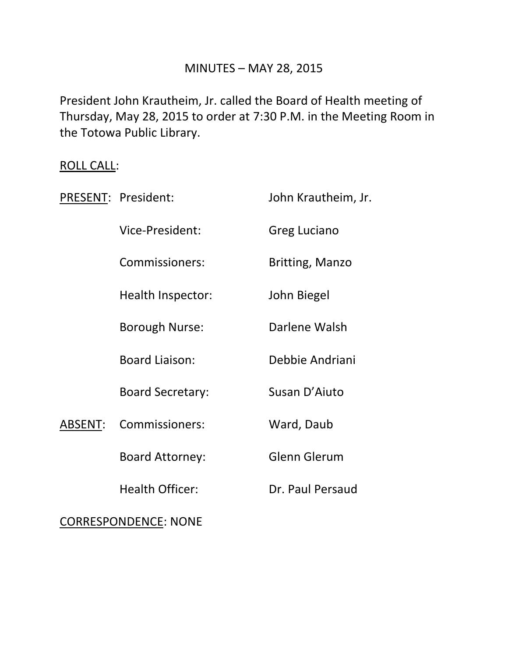## MINUTES – MAY 28, 2015

President John Krautheim, Jr. called the Board of Health meeting of Thursday, May 28, 2015 to order at 7:30 P.M. in the Meeting Room in the Totowa Public Library.

# ROLL CALL:

|                             | PRESENT: President:     | John Krautheim, Jr.    |
|-----------------------------|-------------------------|------------------------|
|                             | Vice-President:         | Greg Luciano           |
|                             | Commissioners:          | <b>Britting, Manzo</b> |
|                             | Health Inspector:       | John Biegel            |
|                             | <b>Borough Nurse:</b>   | Darlene Walsh          |
|                             | <b>Board Liaison:</b>   | Debbie Andriani        |
|                             | <b>Board Secretary:</b> | Susan D'Aiuto          |
| ABSENT:                     | Commissioners:          | Ward, Daub             |
|                             | <b>Board Attorney:</b>  | <b>Glenn Glerum</b>    |
|                             | <b>Health Officer:</b>  | Dr. Paul Persaud       |
| <b>CORRESPONDENCE: NONE</b> |                         |                        |